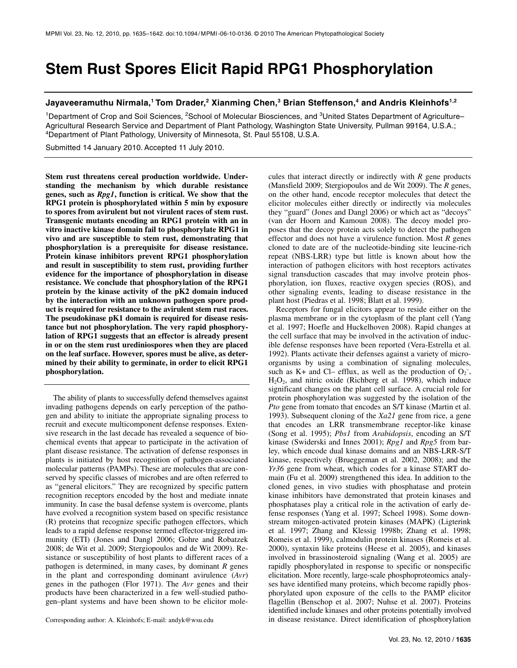# **Stem Rust Spores Elicit Rapid RPG1 Phosphorylation**

## Jayaveeramuthu Nirmala,<sup>1</sup> Tom Drader,<sup>2</sup> Xianming Chen,<sup>3</sup> Brian Steffenson,<sup>4</sup> and Andris Kleinhofs<sup>1,2</sup>

<sup>1</sup>Department of Crop and Soil Sciences, <sup>2</sup>School of Molecular Biosciences, and <sup>3</sup>United States Department of Agriculture– Agricultural Research Service and Department of Plant Pathology, Washington State University, Pullman 99164, U.S.A.;<br><sup>4</sup>Department of Plant Pathology, University of Minnesota, St. Paul 55108, U.S.A.

Submitted 14 January 2010. Accepted 11 July 2010.

**Stem rust threatens cereal production worldwide. Understanding the mechanism by which durable resistance genes, such as** *Rpg1***, function is critical. We show that the RPG1 protein is phosphorylated within 5 min by exposure to spores from avirulent but not virulent races of stem rust. Transgenic mutants encoding an RPG1 protein with an in vitro inactive kinase domain fail to phosphorylate RPG1 in vivo and are susceptible to stem rust, demonstrating that phosphorylation is a prerequisite for disease resistance. Protein kinase inhibitors prevent RPG1 phosphorylation and result in susceptibility to stem rust, providing further evidence for the importance of phosphorylation in disease resistance. We conclude that phosphorylation of the RPG1 protein by the kinase activity of the pK2 domain induced by the interaction with an unknown pathogen spore product is required for resistance to the avirulent stem rust races. The pseudokinase pK1 domain is required for disease resistance but not phosphorylation. The very rapid phosphorylation of RPG1 suggests that an effector is already present in or on the stem rust urediniospores when they are placed on the leaf surface. However, spores must be alive, as determined by their ability to germinate, in order to elicit RPG1 phosphorylation.** 

The ability of plants to successfully defend themselves against invading pathogens depends on early perception of the pathogen and ability to initiate the appropriate signaling process to recruit and execute multicomponent defense responses. Extensive research in the last decade has revealed a sequence of biochemical events that appear to participate in the activation of plant disease resistance. The activation of defense responses in plants is initiated by host recognition of pathogen-associated molecular patterns (PAMPs). These are molecules that are conserved by specific classes of microbes and are often referred to as "general elicitors." They are recognized by specific pattern recognition receptors encoded by the host and mediate innate immunity. In case the basal defense system is overcome, plants have evolved a recognition system based on specific resistance (R) proteins that recognize specific pathogen effectors, which leads to a rapid defense response termed effector-triggered immunity (ETI) (Jones and Dangl 2006; Gohre and Robatzek 2008; de Wit et al. 2009; Stergiopoulos and de Wit 2009). Resistance or susceptibility of host plants to different races of a pathogen is determined, in many cases, by dominant *R* genes in the plant and corresponding dominant avirulence (*Avr*) genes in the pathogen (Flor 1971). The *Avr* genes and their products have been characterized in a few well-studied pathogen–plant systems and have been shown to be elicitor mole-

(Mansfield 2009; Stergiopoulos and de Wit 2009). The *R* genes, on the other hand, encode receptor molecules that detect the elicitor molecules either directly or indirectly via molecules they "guard" (Jones and Dangl 2006) or which act as "decoys" (van der Hoorn and Kamoun 2008). The decoy model proposes that the decoy protein acts solely to detect the pathogen effector and does not have a virulence function. Most *R* genes cloned to date are of the nucleotide-binding site leucine-rich repeat (NBS-LRR) type but little is known about how the interaction of pathogen elicitors with host receptors activates signal transduction cascades that may involve protein phosphorylation, ion fluxes, reactive oxygen species (ROS), and other signaling events, leading to disease resistance in the plant host (Piedras et al. 1998; Blatt et al. 1999). Receptors for fungal elicitors appear to reside either on the

cules that interact directly or indirectly with *R* gene products

plasma membrane or in the cytoplasm of the plant cell (Yang et al. 1997; Hoefle and Huckelhoven 2008). Rapid changes at the cell surface that may be involved in the activation of inducible defense responses have been reported (Vera-Estrella et al. 1992). Plants activate their defenses against a variety of microorganisms by using a combination of signaling molecules, such as K+ and Cl– efflux, as well as the production of  $O_2^-$ ,  $H<sub>2</sub>O<sub>2</sub>$ , and nitric oxide (Richberg et al. 1998), which induce significant changes on the plant cell surface. A crucial role for protein phosphorylation was suggested by the isolation of the *Pto* gene from tomato that encodes an S/T kinase (Martin et al. 1993). Subsequent cloning of the *Xa21* gene from rice, a gene that encodes an LRR transmembrane receptor-like kinase (Song et al. 1995); *Pbs1* from *Arabidopsis*, encoding an S/T kinase (Swiderski and Innes 2001); *Rpg1* and *Rpg5* from barley, which encode dual kinase domains and an NBS-LRR-S/T kinase, respectively (Brueggeman et al. 2002, 2008); and the *Yr36* gene from wheat, which codes for a kinase START domain (Fu et al. 2009) strengthened this idea. In addition to the cloned genes, in vivo studies with phosphatase and protein kinase inhibitors have demonstrated that protein kinases and phosphatases play a critical role in the activation of early defense responses (Yang et al. 1997; Scheel 1998). Some downstream mitogen-activated protein kinases (MAPK) (Ligterink et al. 1997; Zhang and Klessig 1998b; Zhang et al. 1998; Romeis et al. 1999), calmodulin protein kinases (Romeis et al. 2000), syntaxin like proteins (Heese et al. 2005), and kinases involved in brassinosteroid signaling (Wang et al. 2005) are rapidly phosphorylated in response to specific or nonspecific elicitation. More recently, large-scale phosphoproteomics analyses have identified many proteins, which become rapidly phosphorylated upon exposure of the cells to the PAMP elicitor flagellin (Benschop et al. 2007; Nuhse et al. 2007). Proteins identified include kinases and other proteins potentially involved Corresponding author: A. Kleinhofs; E-mail: andyk@wsu.edu in disease resistance. Direct identification of phosphorylation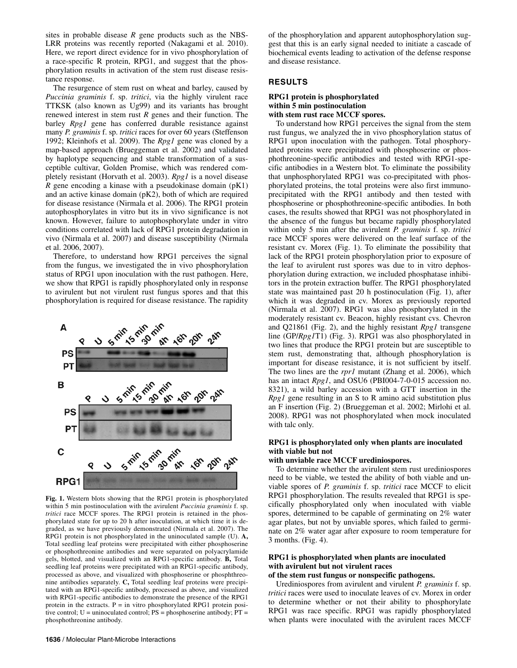sites in probable disease *R* gene products such as the NBS-LRR proteins was recently reported (Nakagami et al. 2010). Here, we report direct evidence for in vivo phosphorylation of a race-specific R protein, RPG1, and suggest that the phosphorylation results in activation of the stem rust disease resistance response.

The resurgence of stem rust on wheat and barley, caused by *Puccinia graminis* f. sp. *tritici*, via the highly virulent race TTKSK (also known as Ug99) and its variants has brought renewed interest in stem rust *R* genes and their function. The barley *Rpg1* gene has conferred durable resistance against many *P. graminis* f. sp. *tritici* races for over 60 years (Steffenson 1992; Kleinhofs et al. 2009). The *Rpg1* gene was cloned by a map-based approach (Brueggeman et al. 2002) and validated by haplotype sequencing and stable transformation of a susceptible cultivar, Golden Promise, which was rendered completely resistant (Horvath et al. 2003). *Rpg1* is a novel disease  $\bar{R}$  gene encoding a kinase with a pseudokinase domain ( $pK1$ ) and an active kinase domain (pK2), both of which are required for disease resistance (Nirmala et al. 2006). The RPG1 protein autophosphorylates in vitro but its in vivo significance is not known. However, failure to autophosphorylate under in vitro conditions correlated with lack of RPG1 protein degradation in vivo (Nirmala et al. 2007) and disease susceptibility (Nirmala et al. 2006, 2007).

Therefore, to understand how RPG1 perceives the signal from the fungus, we investigated the in vivo phosphorylation status of RPG1 upon inoculation with the rust pathogen. Here, we show that RPG1 is rapidly phosphorylated only in response to avirulent but not virulent rust fungus spores and that this phosphorylation is required for disease resistance. The rapidity



**Fig. 1.** Western blots showing that the RPG1 protein is phosphorylated within 5 min postinoculation with the avirulent *Puccinia graminis* f. sp. *tritici* race MCCF spores. The RPG1 protein is retained in the phosphorylated state for up to 20 h after inoculation, at which time it is degraded, as we have previously demonstrated (Nirmala et al. 2007). The RPG1 protein is not phosphorylated in the uninoculated sample (U). **A,**  Total seedling leaf proteins were precipitated with either phosphoserine or phosphothreonine antibodies and were separated on polyacrylamide gels, blotted, and visualized with an RPG1-specific antibody. **B,** Total seedling leaf proteins were precipitated with an RPG1-specific antibody, processed as above, and visualized with phosphoserine or phosphthreonine antibodies separately. **C,** Total seedling leaf proteins were precipitated with an RPG1-specific antibody, processed as above, and visualized with RPG1-specific antibodies to demonstrate the presence of the RPG1 protein in the extracts.  $P =$  in vitro phosphorylated RPG1 protein positive control; U = uninoculated control; PS = phosphoserine antibody; PT = phosphothreonine antibody.

of the phosphorylation and apparent autophosphorylation suggest that this is an early signal needed to initiate a cascade of biochemical events leading to activation of the defense response and disease resistance.

## **RESULTS**

## **RPG1 protein is phosphorylated within 5 min postinoculation with stem rust race MCCF spores.**

To understand how RPG1 perceives the signal from the stem rust fungus, we analyzed the in vivo phosphorylation status of RPG1 upon inoculation with the pathogen. Total phosphorylated proteins were precipitated with phosphoserine or phosphothreonine-specific antibodies and tested with RPG1-specific antibodies in a Western blot. To eliminate the possibility that unphosphorylated RPG1 was co-precipitated with phosphorylated proteins, the total proteins were also first immunoprecipitated with the RPG1 antibody and then tested with phosphoserine or phosphothreonine-specific antibodies. In both cases, the results showed that RPG1 was not phosphorylated in the absence of the fungus but became rapidly phosphorylated within only 5 min after the avirulent *P. graminis* f. sp. *tritici* race MCCF spores were delivered on the leaf surface of the resistant cv. Morex (Fig. 1). To eliminate the possibility that lack of the RPG1 protein phosphorylation prior to exposure of the leaf to avirulent rust spores was due to in vitro dephosphorylation during extraction, we included phosphatase inhibitors in the protein extraction buffer. The RPG1 phosphorylated state was maintained past 20 h postinoculation (Fig. 1), after which it was degraded in cv. Morex as previously reported (Nirmala et al. 2007). RPG1 was also phosphorylated in the moderately resistant cv. Beacon, highly resistant cvs. Chevron and Q21861 (Fig. 2), and the highly resistant *Rpg1* transgene line (GP/*Rpg1*T1) (Fig. 3). RPG1 was also phosphorylated in two lines that produce the RPG1 protein but are susceptible to stem rust, demonstrating that, although phosphorylation is important for disease resistance, it is not sufficient by itself. The two lines are the *rpr1* mutant (Zhang et al. 2006), which has an intact *Rpg1*, and OSU6 (PBI004-7-0-015 accession no. 8321), a wild barley accession with a GTT insertion in the *Rpg1* gene resulting in an S to R amino acid substitution plus an F insertion (Fig. 2) (Brueggeman et al. 2002; Mirlohi et al. 2008). RPG1 was not phosphorylated when mock inoculated with talc only.

## **RPG1 is phosphorylated only when plants are inoculated with viable but not**

#### **with unviable race MCCF urediniospores.**

To determine whether the avirulent stem rust urediniospores need to be viable, we tested the ability of both viable and unviable spores of *P. graminis* f. sp. *tritici* race MCCF to elicit RPG1 phosphorylation. The results revealed that RPG1 is specifically phosphorylated only when inoculated with viable spores, determined to be capable of germinating on 2% water agar plates, but not by unviable spores, which failed to germinate on 2% water agar after exposure to room temperature for 3 months. (Fig. 4).

# **RPG1 is phosphorylated when plants are inoculated with avirulent but not virulent races**

# **of the stem rust fungus or nonspecific pathogens.**

Urediniospores from avirulent and virulent *P. graminis* f. sp. *tritici* races were used to inoculate leaves of cv. Morex in order to determine whether or not their ability to phosphorylate RPG1 was race specific. RPG1 was rapidly phosphorylated when plants were inoculated with the avirulent races MCCF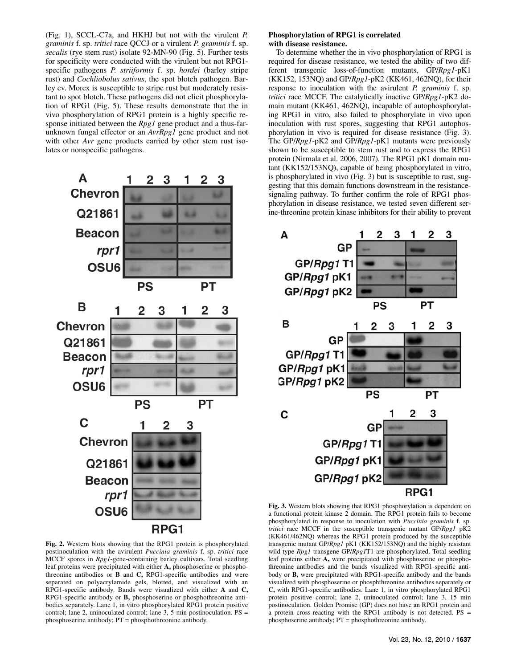(Fig. 1), SCCL-C7a, and HKHJ but not with the virulent *P. graminis* f. sp. *tritici* race QCCJ or a virulent *P. graminis* f. sp. *secalis* (rye stem rust) isolate 92-MN-90 (Fig. 5). Further tests for specificity were conducted with the virulent but not RPG1 specific pathogens *P. striiformis* f. sp. *hordei* (barley stripe rust) and *Cochliobolus sativus*, the spot blotch pathogen. Barley cv. Morex is susceptible to stripe rust but moderately resistant to spot blotch. These pathogens did not elicit phosphorylation of RPG1 (Fig. 5). These results demonstrate that the in vivo phosphorylation of RPG1 protein is a highly specific response initiated between the *Rpg1* gene product and a thus-farunknown fungal effector or an *AvrRpg1* gene product and not with other *Avr* gene products carried by other stem rust isolates or nonspecific pathogens.

> 2 3

1 2 3

A

**Chevron** Q21861 **Beacon** rpr1 **OSU6 PS** РT B 1  $\overline{2}$ 3 1 2 3 **Chevron** Q21861 **Beacon** rpr1 OSU6 PT PS C 1 3 2 **Chevron** Q21861 **Beacon** rpr1 **OSU6** RPG1

**Fig. 2.** Western blots showing that the RPG1 protein is phosphorylated postinoculation with the avirulent *Puccinia graminis* f. sp. *tritici* race MCCF spores in *Rpg1*-gene-containing barley cultivars. Total seedling leaf proteins were precipitated with either **A,** phosphoserine or phosphothreonine antibodies or **B** and **C,** RPG1-specific antibodies and were separated on polyacrylamide gels, blotted, and visualized with an RPG1-specific antibody. Bands were visualized with either **A** and **C,**  RPG1-specific antibody or **B,** phosphoserine or phosphothreonine antibodies separately. Lane 1, in vitro phosphorylated RPG1 protein positive control; lane 2, uninoculated control; lane 3, 5 min postinoculation. PS = phosphoserine antibody; PT = phosphothreonine antibody.

#### **Phosphorylation of RPG1 is correlated with disease resistance.**

To determine whether the in vivo phosphorylation of RPG1 is required for disease resistance, we tested the ability of two different transgenic loss-of-function mutants, GP/*Rpg1*-pK1 (KK152, 153NQ) and GP/*Rpg1*-pK2 (KK461, 462NQ), for their response to inoculation with the avirulent *P. graminis* f. sp. *tritici* race MCCF. The catalytically inactive GP/*Rpg1*-pK2 domain mutant (KK461, 462NQ), incapable of autophosphorylating RPG1 in vitro, also failed to phosphorylate in vivo upon inoculation with rust spores, suggesting that RPG1 autophosphorylation in vivo is required for disease resistance (Fig. 3). The GP/*Rpg1*-pK2 and GP/*Rpg1*-pK1 mutants were previously shown to be susceptible to stem rust and to express the RPG1 protein (Nirmala et al. 2006, 2007). The RPG1 pK1 domain mutant (KK152/153NQ), capable of being phosphorylated in vitro, is phosphorylated in vivo (Fig. 3) but is susceptible to rust, suggesting that this domain functions downstream in the resistancesignaling pathway. To further confirm the role of RPG1 phosphorylation in disease resistance, we tested seven different serine-threonine protein kinase inhibitors for their ability to prevent



**Fig. 3.** Western blots showing that RPG1 phosphorylation is dependent on a functional protein kinase 2 domain. The RPG1 protein fails to become phosphorylated in response to inoculation with *Puccinia graminis* f. sp. *tritici* race MCCF in the susceptible transgenic mutant GP/*Rpg1* pK2 (KK461/462NQ) whereas the RPG1 protein produced by the susceptible transgenic mutant GP/*Rpg1* pK1 (KK152/153NQ) and the highly resistant wild-type *Rpg1* transgene GP/*Rpg1*T1 are phosphorylated. Total seedling leaf proteins either **A,** were precipitated with phosphoserine or phosphothreonine antibodies and the bands visualized with RPG1-specific antibody or **B,** were precipitated with RPG1-specific antibody and the bands visualized with phosphoserine or phosphthreonine antibodies separately or **C,** with RPG1-specific antibodies. Lane 1, in vitro phosphorylated RPG1 protein positive control; lane 2, uninoculated control; lane 3, 15 min postinoculation. Golden Promise (GP) does not have an RPG1 protein and a protein cross-reacting with the RPG1 antibody is not detected. PS = phosphoserine antibody; PT = phosphothreonine antibody.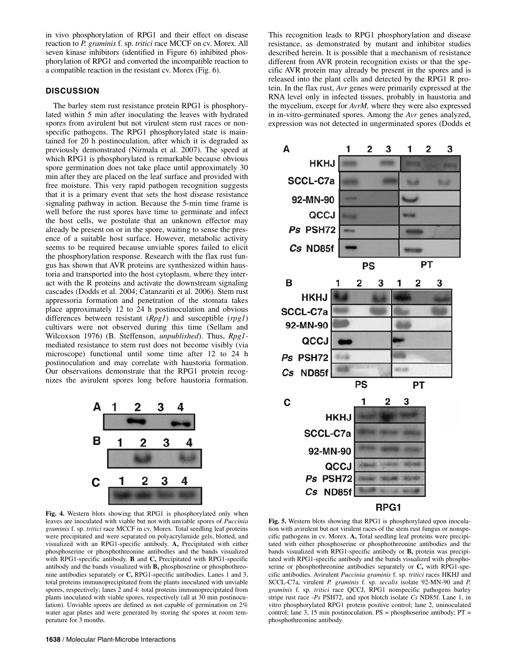in vivo phosphorylation of RPG1 and their effect on disease reaction to *P. graminis* f. sp. *tritici* race MCCF on cv. Morex. All seven kinase inhibitors (identified in Figure 6) inhibited phosphorylation of RPG1 and converted the incompatible reaction to a compatible reaction in the resistant cv. Morex (Fig. 6).

## **DISCUSSION**

The barley stem rust resistance protein RPG1 is phosphorylated within 5 min after inoculating the leaves with hydrated spores from avirulent but not virulent stem rust races or nonspecific pathogens. The RPG1 phosphorylated state is maintained for 20 h postinoculation, after which it is degraded as previously demonstrated (Nirmala et al. 2007). The speed at which RPG1 is phosphorylated is remarkable because obvious spore germination does not take place until approximately 30 min after they are placed on the leaf surface and provided with free moisture. This very rapid pathogen recognition suggests that it is a primary event that sets the host disease resistance signaling pathway in action. Because the 5-min time frame is well before the rust spores have time to germinate and infect the host cells, we postulate that an unknown effector may already be present on or in the spore, waiting to sense the presence of a suitable host surface. However, metabolic activity seems to be required because unviable spores failed to elicit the phosphorylation response. Research with the flax rust fungus has shown that AVR proteins are synthesized within haustoria and transported into the host cytoplasm, where they interact with the R proteins and activate the downstream signaling cascades (Dodds et al. 2004; Catanzariti et al. 2006). Stem rust appressoria formation and penetration of the stomata takes place approximately 12 to 24 h postinoculation and obvious differences between resistant (*Rpg1*) and susceptible (*rpg1*) cultivars were not observed during this time (Sellam and Wilcoxson 1976) (B. Steffenson, *unpublished*). Thus, *Rpg1* mediated resistance to stem rust does not become visibly (via microscope) functional until some time after 12 to 24 h postinoculation and may correlate with haustoria formation. Our observations demonstrate that the RPG1 protein recognizes the avirulent spores long before haustoria formation.



**Fig. 4.** Western blots showing that RPG1 is phosphorylated only when leaves are inoculated with viable but not with unviable spores of *Puccinia graminis* f. sp. *tritici* race MCCF in cv. Morex. Total seedling leaf proteins were precipitated and were separated on polyacrylamide gels, blotted, and visualized with an RPG1-specific antibody. **A,** Precipitated with either phosphoserine or phosphothreonine antibodies and the bands visualized with RPG1-specific antibody. **B** and **C,** Precipitated with RPG1-specific antibody and the bands visualized with **B,** phosphoserine or phosphothreonine antibodies separately or **C,** RPG1-specific antibodies. Lanes 1 and 3, total proteins immunoprecipitated from the plants inoculated with unviable spores, respectively; lanes 2 and 4: total proteins immunoprecipitated from plants inoculated with viable spores, respectively (all at 30 min postinoculation). Unviable spores are defined as not capable of germination on 2% water agar plates and were generated by storing the spores at room temperature for 3 months.

This recognition leads to RPG1 phosphorylation and disease resistance, as demonstrated by mutant and inhibitor studies described herein. It is possible that a mechanism of resistance different from AVR protein recognition exists or that the specific AVR protein may already be present in the spores and is released into the plant cells and detected by the RPG1 R protein. In the flax rust, *Avr* genes were primarily expressed at the RNA level only in infected tissues, probably in haustoria and the mycelium, except for *AvrM,* where they were also expressed in in-vitro-germinated spores. Among the *Avr* genes analyzed, expression was not detected in ungerminated spores (Dodds et



**Fig. 5.** Western blots showing that RPG1 is phosphorylated upon inoculation with avirulent but not virulent races of the stem rust fungus or nonspecific pathogens in cv. Morex. **A,** Total seedling leaf proteins were precipitated with either phosphoserine or phosphothreonine antibodies and the bands visualized with RPG1-specific antibody or **B,** protein was precipitated with RPG1-specific antibody and the bands visualized with phosphoserine or phosphothreonine antibodies separately or **C,** with RPG1-specific antibodies. Avirulent *Puccinia graminis* f. sp. *tritici* races HKHJ and SCCL-C7a, virulent *P. graminis* f. sp. *secalis* isolate 92-MN-90 and *P. graminis* f. sp. *tritici* race QCCJ, RPG1 nonspecific pathogens barley stripe rust race -*Ps* PSH72, and spot blotch isolate *Cs* ND85f. Lane 1, in vitro phosphorylated RPG1 protein positive control; lane 2, uninoculated control; lane 3, 15 min postinoculation. PS = phosphoserine antibody; PT = phosphothreonine antibody.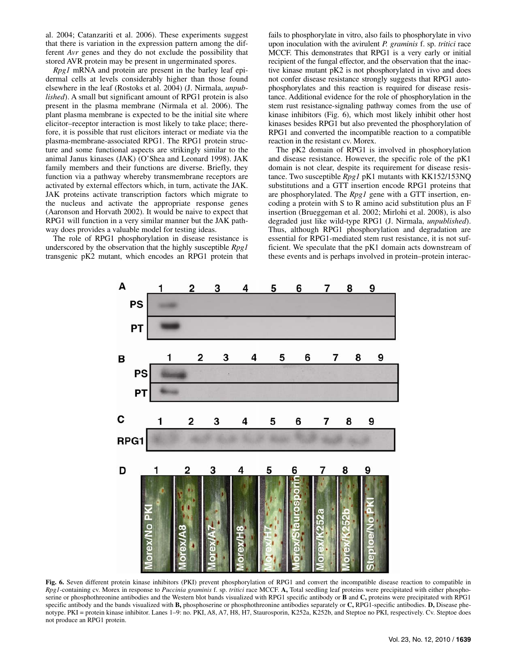al. 2004; Catanzariti et al. 2006). These experiments suggest that there is variation in the expression pattern among the different *Avr* genes and they do not exclude the possibility that stored AVR protein may be present in ungerminated spores.

*Rpg1* mRNA and protein are present in the barley leaf epidermal cells at levels considerably higher than those found elsewhere in the leaf (Rostoks et al. 2004) (J. Nirmala, *unpublished*). A small but significant amount of RPG1 protein is also present in the plasma membrane (Nirmala et al. 2006). The plant plasma membrane is expected to be the initial site where elicitor–receptor interaction is most likely to take place; therefore, it is possible that rust elicitors interact or mediate via the plasma-membrane-associated RPG1. The RPG1 protein structure and some functional aspects are strikingly similar to the animal Janus kinases (JAK) (O'Shea and Leonard 1998). JAK family members and their functions are diverse. Briefly, they function via a pathway whereby transmembrane receptors are activated by external effectors which, in turn, activate the JAK. JAK proteins activate transcription factors which migrate to the nucleus and activate the appropriate response genes (Aaronson and Horvath 2002). It would be naive to expect that RPG1 will function in a very similar manner but the JAK pathway does provides a valuable model for testing ideas.

The role of RPG1 phosphorylation in disease resistance is underscored by the observation that the highly susceptible *Rpg1* transgenic pK2 mutant, which encodes an RPG1 protein that fails to phosphorylate in vitro, also fails to phosphorylate in vivo upon inoculation with the avirulent *P. graminis* f. sp. *tritici* race MCCF. This demonstrates that RPG1 is a very early or initial recipient of the fungal effector, and the observation that the inactive kinase mutant pK2 is not phosphorylated in vivo and does not confer disease resistance strongly suggests that RPG1 autophosphorylates and this reaction is required for disease resistance. Additional evidence for the role of phosphorylation in the stem rust resistance-signaling pathway comes from the use of kinase inhibitors (Fig. 6), which most likely inhibit other host kinases besides RPG1 but also prevented the phosphorylation of RPG1 and converted the incompatible reaction to a compatible reaction in the resistant cv. Morex.

The pK2 domain of RPG1 is involved in phosphorylation and disease resistance. However, the specific role of the pK1 domain is not clear, despite its requirement for disease resistance. Two susceptible *Rpg1* pK1 mutants with KK152/153NQ substitutions and a GTT insertion encode RPG1 proteins that are phosphorylated. The *Rpg1* gene with a GTT insertion, encoding a protein with S to R amino acid substitution plus an F insertion (Brueggeman et al. 2002; Mirlohi et al. 2008), is also degraded just like wild-type RPG1 (J. Nirmala, *unpublished*). Thus, although RPG1 phosphorylation and degradation are essential for RPG1-mediated stem rust resistance, it is not sufficient. We speculate that the pK1 domain acts downstream of these events and is perhaps involved in protein–protein interac-



**Fig. 6.** Seven different protein kinase inhibitors (PKI) prevent phosphorylation of RPG1 and convert the incompatible disease reaction to compatible in *Rpg1-*containing cv. Morex in response to *Puccinia graminis* f. sp. *tritici* race MCCF. **A,** Total seedling leaf proteins were precipitated with either phosphoserine or phosphothreonine antibodies and the Western blot bands visualized with RPG1 specific antibody or **B** and **C,** proteins were precipitated with RPG1 specific antibody and the bands visualized with **B,** phosphoserine or phosphothreonine antibodies separately or **C,** RPG1-specific antibodies. **D,** Disease phenotype. PKI = protein kinase inhibitor. Lanes 1–9: no. PKI, A8, A7, H8, H7, Staurosporin, K252a, K252b, and Steptoe no PKI, respectively. Cv. Steptoe does not produce an RPG1 protein.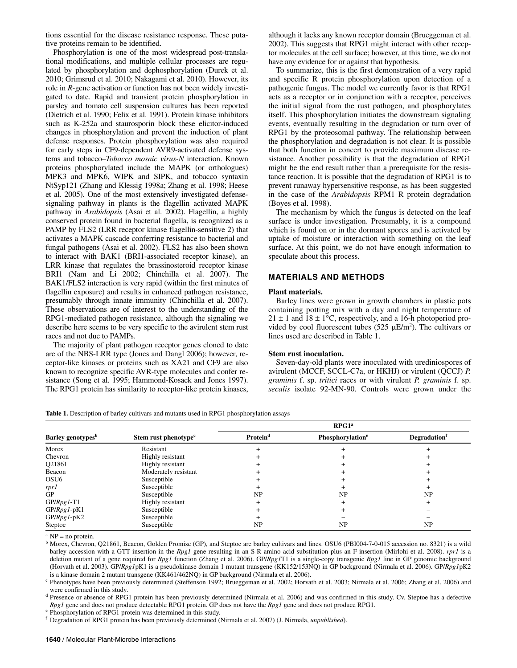tions essential for the disease resistance response. These putative proteins remain to be identified.

Phosphorylation is one of the most widespread post-translational modifications, and multiple cellular processes are regulated by phosphorylation and dephosphorylation (Durek et al. 2010; Grimsrud et al. 2010; Nakagami et al. 2010). However, its role in *R*-gene activation or function has not been widely investigated to date. Rapid and transient protein phosphorylation in parsley and tomato cell suspension cultures has been reported (Dietrich et al. 1990; Felix et al. 1991). Protein kinase inhibitors such as K-252a and staurosporin block these elicitor-induced changes in phosphorylation and prevent the induction of plant defense responses. Protein phosphorylation was also required for early steps in CF9-dependent AVR9-activated defense systems and tobacco–*Tobacco mosaic virus-N* interaction. Known proteins phosphorylated include the MAPK (or orthologues) MPK3 and MPK6, WIPK and SIPK, and tobacco syntaxin NtSyp121 (Zhang and Klessig 1998a; Zhang et al. 1998; Heese et al. 2005). One of the most extensively investigated defensesignaling pathway in plants is the flagellin activated MAPK pathway in *Arabidopsis* (Asai et al. 2002). Flagellin, a highly conserved protein found in bacterial flagella, is recognized as a PAMP by FLS2 (LRR receptor kinase flagellin-sensitive 2) that activates a MAPK cascade conferring resistance to bacterial and fungal pathogens (Asai et al. 2002). FLS2 has also been shown to interact with BAK1 (BRI1-associated receptor kinase), an LRR kinase that regulates the brassinosteroid receptor kinase BRI1 (Nam and Li 2002; Chinchilla et al. 2007). The BAK1/FLS2 interaction is very rapid (within the first minutes of flagellin exposure) and results in enhanced pathogen resistance, presumably through innate immunity (Chinchilla et al. 2007). These observations are of interest to the understanding of the RPG1-mediated pathogen resistance, although the signaling we describe here seems to be very specific to the avirulent stem rust races and not due to PAMPs.

The majority of plant pathogen receptor genes cloned to date are of the NBS-LRR type (Jones and Dangl 2006); however, receptor-like kinases or proteins such as XA21 and CF9 are also known to recognize specific AVR-type molecules and confer resistance (Song et al. 1995; Hammond-Kosack and Jones 1997). The RPG1 protein has similarity to receptor-like protein kinases,

although it lacks any known receptor domain (Brueggeman et al. 2002). This suggests that RPG1 might interact with other receptor molecules at the cell surface; however, at this time, we do not have any evidence for or against that hypothesis.

To summarize, this is the first demonstration of a very rapid and specific R protein phosphorylation upon detection of a pathogenic fungus. The model we currently favor is that RPG1 acts as a receptor or in conjunction with a receptor, perceives the initial signal from the rust pathogen, and phosphorylates itself. This phosphorylation initiates the downstream signaling events, eventually resulting in the degradation or turn over of RPG1 by the proteosomal pathway. The relationship between the phosphorylation and degradation is not clear. It is possible that both function in concert to provide maximum disease resistance. Another possibility is that the degradation of RPG1 might be the end result rather than a prerequisite for the resistance reaction. It is possible that the degradation of RPG1 is to prevent runaway hypersensitive response, as has been suggested in the case of the *Arabidopsis* RPM1 R protein degradation (Boyes et al. 1998).

The mechanism by which the fungus is detected on the leaf surface is under investigation. Presumably, it is a compound which is found on or in the dormant spores and is activated by uptake of moisture or interaction with something on the leaf surface. At this point, we do not have enough information to speculate about this process.

## **MATERIALS AND METHODS**

## **Plant materials.**

Barley lines were grown in growth chambers in plastic pots containing potting mix with a day and night temperature of  $21 \pm 1$  and  $18 \pm 1$ °C, respectively, and a 16-h photoperiod provided by cool fluorescent tubes  $(525 \mu E/m^2)$ . The cultivars or lines used are described in Table 1.

#### **Stem rust inoculation.**

Seven-day-old plants were inoculated with urediniospores of avirulent (MCCF, SCCL-C7a, or HKHJ) or virulent (QCCJ) *P. graminis* f. sp. *tritici* races or with virulent *P. graminis* f. sp. *secalis* isolate 92-MN-90. Controls were grown under the

Table 1. Description of barley cultivars and mutants used in RPG1 phosphorylation assays

| Barley genotypes <sup>b</sup> | Stem rust phenotype <sup>c</sup> | RPG1 <sup>a</sup>    |                              |                                 |
|-------------------------------|----------------------------------|----------------------|------------------------------|---------------------------------|
|                               |                                  | Protein <sup>d</sup> | Phosphorylation <sup>e</sup> | <b>Degradation</b> <sup>f</sup> |
| Morex                         | Resistant                        |                      |                              |                                 |
| Chevron                       | Highly resistant                 |                      |                              |                                 |
| Q21861                        | Highly resistant                 |                      |                              |                                 |
| Beacon                        | Moderately resistant             |                      |                              |                                 |
| OSU <sub>6</sub>              | Susceptible                      |                      |                              |                                 |
| rpr1                          | Susceptible                      |                      |                              |                                 |
| <b>GP</b>                     | Susceptible                      | NP                   | NP                           | NP                              |
| GP/Rpg1-T1                    | Highly resistant                 |                      |                              |                                 |
| GP/Rpg1-pK1                   | Susceptible                      |                      |                              |                                 |
| GP/Rpg1-pK2                   | Susceptible                      |                      |                              |                                 |
| Steptoe                       | Susceptible                      | NP                   | <b>NP</b>                    | <b>NP</b>                       |

 $^{\rm a}$  NP = no protein.

<sup>b</sup> Morex, Chevron, Q21861, Beacon, Golden Promise (GP), and Steptoe are barley cultivars and lines. OSU6 (PBI004-7-0-015 accession no. 8321) is a wild barley accession with a GTT insertion in the *Rpg1* gene resulting in an S-R amino acid substitution plus an F insertion (Mirlohi et al. 2008). *rpr1* is a deletion mutant of a gene required for *Rpg1* function (Zhang et al. 2006). GP/*Rpg1*T1 is a single-copy transgenic *Rpg1* line in GP genomic background (Horvath et al. 2003). GP/*Rpg1*pK1 is a pseudokinase domain 1 mutant transgene (KK152/153NQ) in GP background (Nirmala et al. 2006). GP/*Rpg1*pK2

<sup>c</sup> Phenotypes have been previously determined (Steffenson 1992; Brueggeman et al. 2002; Horvath et al. 2003; Nirmala et al. 2006; Zhang et al. 2006) and were confirmed in this study.

<sup>d</sup> Presence or absence of RPG1 protein has been previously determined (Nirmala et al. 2006) and was confirmed in this study. Cv. Steptoe has a defective *Rpg1* gene and does not produce detectable RPG1 protein. GP does not have the *Rpg1* gene and does not produce RPG1. <sup>e</sup> Phosphorylation of RPG1 protein was determined in this study.

f Degradation of RPG1 protein has been previously determined (Nirmala et al. 2007) (J. Nirmala, *unpublished*).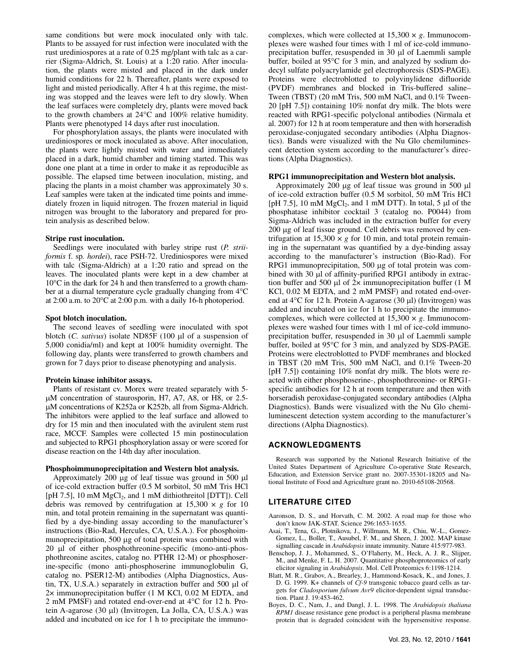same conditions but were mock inoculated only with talc. Plants to be assayed for rust infection were inoculated with the rust urediniospores at a rate of 0.25 mg/plant with talc as a carrier (Sigma-Aldrich, St. Louis) at a 1:20 ratio. After inoculation, the plants were misted and placed in the dark under humid conditions for 22 h. Thereafter, plants were exposed to light and misted periodically. After 4 h at this regime, the misting was stopped and the leaves were left to dry slowly. When the leaf surfaces were completely dry, plants were moved back to the growth chambers at 24°C and 100% relative humidity. Plants were phenotyped 14 days after rust inoculation.

For phosphorylation assays, the plants were inoculated with urediniospores or mock inoculated as above. After inoculation, the plants were lightly misted with water and immediately placed in a dark, humid chamber and timing started. This was done one plant at a time in order to make it as reproducible as possible. The elapsed time between inoculation, misting, and placing the plants in a moist chamber was approximately 30 s. Leaf samples were taken at the indicated time points and immediately frozen in liquid nitrogen. The frozen material in liquid nitrogen was brought to the laboratory and prepared for protein analysis as described below.

#### **Stripe rust inoculation.**

Seedlings were inoculated with barley stripe rust (*P. striiformis* f. sp*. hordei*), race PSH-72. Urediniospores were mixed with talc (Sigma-Aldrich) at a 1:20 ratio and spread on the leaves. The inoculated plants were kept in a dew chamber at 10°C in the dark for 24 h and then transferred to a growth chamber at a diurnal temperature cycle gradually changing from 4°C at 2:00 a.m. to 20°C at 2:00 p.m. with a daily 16-h photoperiod.

#### **Spot blotch inoculation.**

The second leaves of seedling were inoculated with spot blotch (*C. sativus*) isolate ND85F (100 μl of a suspension of 5,000 conidia/ml) and kept at 100% humidity overnight. The following day, plants were transferred to growth chambers and grown for 7 days prior to disease phenotyping and analysis.

#### **Protein kinase inhibitor assays.**

Plants of resistant cv. Morex were treated separately with 5 μM concentration of staurosporin, H7, A7, A8, or H8, or 2.5 μM concentrations of K252a or K252b, all from Sigma-Aldrich. The inhibitors were applied to the leaf surface and allowed to dry for 15 min and then inoculated with the avirulent stem rust race, MCCF. Samples were collected 15 min postinoculation and subjected to RPG1 phosphorylation assay or were scored for disease reaction on the 14th day after inoculation.

#### **Phosphoimmunoprecipitation and Western blot analysis.**

Approximately 200 μg of leaf tissue was ground in 500 μl of ice-cold extraction buffer (0.5 M sorbitol, 50 mM Tris HCl [pH 7.5], 10 mM MgCl<sub>2</sub>, and 1 mM dithiothreitol [DTT]). Cell debris was removed by centrifugation at  $15,300 \times g$  for 10 min, and total protein remaining in the supernatant was quantified by a dye-binding assay according to the manufacturer's instructions (Bio-Rad, Hercules, CA, U.S.A.). For phosphoimmunoprecipitation, 500 μg of total protein was combined with 20 μl of either phosphothreonine-specific (mono-anti-phosphothreonine ascites, catalog no. PTHR 12-M) or phosphoserine-specific (mono anti-phosphoserine immunoglobulin G, catalog no. PSER12-M) antibodies (Alpha Diagnostics, Austin, TX, U.S.A.) separately in extraction buffer and 500 μl of 2× immunoprecipitation buffer (1 M KCl, 0.02 M EDTA, and 2 mM PMSF) and rotated end-over-end at 4°C for 12 h. Protein A-agarose (30 μl) (Invitrogen, La Jolla, CA, U.S.A.) was added and incubated on ice for 1 h to precipitate the immuno-

complexes, which were collected at  $15,300 \times g$ . Immunocomplexes were washed four times with 1 ml of ice-cold immunoprecipitation buffer, resuspended in 30 μl of Laemmli sample buffer, boiled at 95°C for 3 min, and analyzed by sodium dodecyl sulfate polyacrylamide gel electrophoresis (SDS-PAGE). Proteins were electroblotted to polyvinylidene difluoride (PVDF) membranes and blocked in Tris-buffered saline– Tween (TBST) (20 mM Tris, 500 mM NaCl, and 0.1% Tween-20 [pH 7.5]) containing 10% nonfat dry milk. The blots were reacted with RPG1-specific polyclonal antibodies (Nirmala et al. 2007) for 12 h at room temperature and then with horseradish peroxidase-conjugated secondary antibodies (Alpha Diagnostics). Bands were visualized with the Nu Glo chemiluminescent detection system according to the manufacturer's directions (Alpha Diagnostics).

#### **RPG1 immunoprecipitation and Western blot analysis.**

Approximately 200 μg of leaf tissue was ground in 500 μl of ice-cold extraction buffer (0.5 M sorbitol, 50 mM Tris HCl [pH 7.5], 10 mM  $MgCl<sub>2</sub>$ , and 1 mM DTT). In total, 5  $\mu$ l of the phosphatase inhibitor cocktail 3 (catalog no. P0044) from Sigma-Aldrich was included in the extraction buffer for every 200 μg of leaf tissue ground. Cell debris was removed by centrifugation at  $15,300 \times g$  for 10 min, and total protein remaining in the supernatant was quantified by a dye-binding assay according to the manufacturer's instruction (Bio-Rad). For RPG1 immunoprecipitation, 500 μg of total protein was combined with 30 μl of affinity-purified RPG1 antibody in extraction buffer and 500 μl of  $2 \times$  immunoprecipitation buffer (1 M KCl, 0.02 M EDTA, and 2 mM PMSF) and rotated end-overend at 4°C for 12 h. Protein A-agarose (30 μl) (Invitrogen) was added and incubated on ice for 1 h to precipitate the immunocomplexes, which were collected at  $15,300 \times g$ . Immunocomplexes were washed four times with 1 ml of ice-cold immunoprecipitation buffer, resuspended in 30 μl of Laemmli sample buffer, boiled at 95°C for 3 min, and analyzed by SDS-PAGE. Proteins were electroblotted to PVDF membranes and blocked in TBST (20 mM Tris, 500 mM NaCl, and 0.1% Tween-20 [pH 7.5]) containing 10% nonfat dry milk. The blots were reacted with either phosphoserine-, phosphothreonine- or RPG1 specific antibodies for 12 h at room temperature and then with horseradish peroxidase-conjugated secondary antibodies (Alpha Diagnostics). Bands were visualized with the Nu Glo chemiluminescent detection system according to the manufacturer's directions (Alpha Diagnostics).

## **ACKNOWLEDGMENTS**

Research was supported by the National Research Initiative of the United States Department of Agriculture Co-operative State Research, Education, and Extension Service grant no. 2007-35301-18205 and National Institute of Food and Agriculture grant no. 2010-65108-20568.

## **LITERATURE CITED**

- Aaronson, D. S., and Horvath, C. M. 2002. A road map for those who don't know JAK-STAT. Science 296:1653-1655.
- Asai, T., Tena, G., Plotnikova, J., Willmann, M. R., Chiu, W.-L., Gomez-Gomez, L., Boller, T., Ausubel, F. M., and Sheen, J. 2002. MAP kinase signalling cascade in *Arabidopsis* innate immunity. Nature 415:977-983.
- Benschop, J. J., Mohammed, S., O'Flaherty, M., Heck, A. J. R., Slijper, M., and Menke, F. L. H. 2007. Quantitative phosphoproteomics of early elicitor signaling in *Arabidopsis*. Mol. Cell Proteomics 6:1198-1214.
- Blatt, M. R., Grabov, A., Brearley, J., Hammond-Kosack, K., and Jones, J. D. G. 1999. K+ channels of *Cf-9* transgenic tobacco guard cells as targets for *Cladosporium fulvum Avr9* elicitor-dependent signal transduction. Plant J. 19:453-462.
- Boyes, D. C., Nam, J., and Dangl, J. L. 1998. The *Arabidopsis thaliana RPM1* disease resistance gene product is a peripheral plasma membrane protein that is degraded coincident with the hypersensitive response.